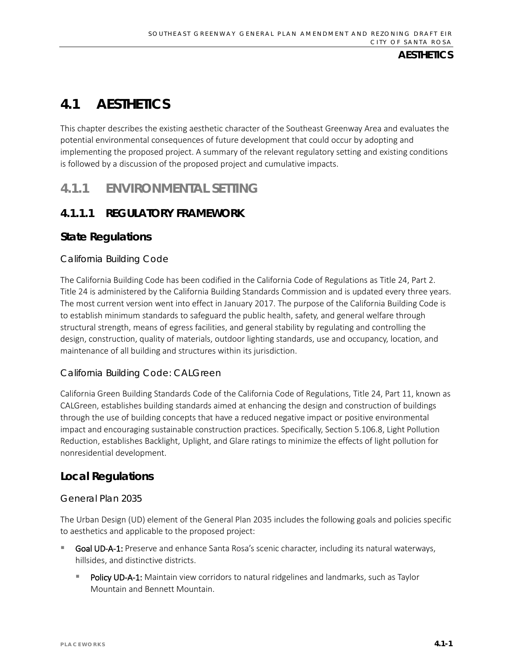# **4.1 AESTHETICS**

This chapter describes the existing aesthetic character of the Southeast Greenway Area and evaluates the potential environmental consequences of future development that could occur by adopting and implementing the proposed project. A summary of the relevant regulatory setting and existing conditions is followed by a discussion of the proposed project and cumulative impacts.

# **4.1.1 ENVIRONMENTAL SETTING**

# **4.1.1.1 REGULATORY FRAMEWORK**

# **State Regulations**

## *California Building Code*

The California Building Code has been codified in the California Code of Regulations as Title 24, Part 2. Title 24 is administered by the California Building Standards Commission and is updated every three years. The most current version went into effect in January 2017. The purpose of the California Building Code is to establish minimum standards to safeguard the public health, safety, and general welfare through structural strength, means of egress facilities, and general stability by regulating and controlling the design, construction, quality of materials, outdoor lighting standards, use and occupancy, location, and maintenance of all building and structures within its jurisdiction.

## *California Building Code: CALGreen*

California Green Building Standards Code of the California Code of Regulations, Title 24, Part 11, known as CALGreen, establishes building standards aimed at enhancing the design and construction of buildings through the use of building concepts that have a reduced negative impact or positive environmental impact and encouraging sustainable construction practices. Specifically, Section 5.106.8, Light Pollution Reduction, establishes Backlight, Uplight, and Glare ratings to minimize the effects of light pollution for nonresidential development.

# **Local Regulations**

## *General Plan 2035*

The Urban Design (UD) element of the General Plan 2035 includes the following goals and policies specific to aesthetics and applicable to the proposed project:

- Goal UD-A-1: Preserve and enhance Santa Rosa's scenic character, including its natural waterways, hillsides, and distinctive districts.
	- Policy UD-A-1: Maintain view corridors to natural ridgelines and landmarks, such as Taylor Mountain and Bennett Mountain.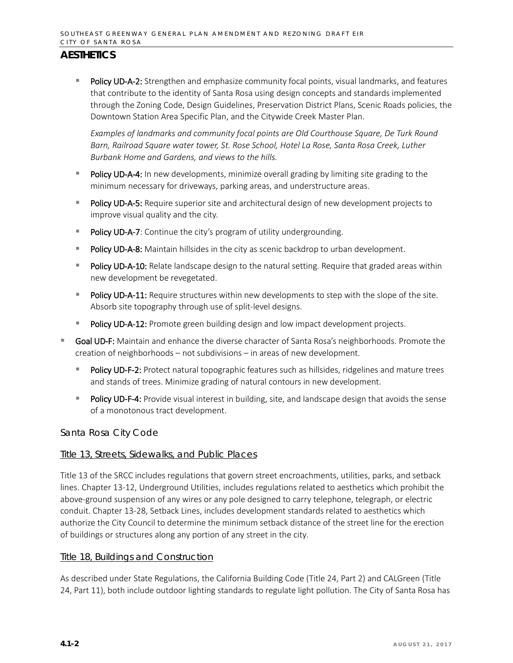Policy UD-A-2: Strengthen and emphasize community focal points, visual landmarks, and features that contribute to the identity of Santa Rosa using design concepts and standards implemented through the Zoning Code, Design Guidelines, Preservation District Plans, Scenic Roads policies, the Downtown Station Area Specific Plan, and the Citywide Creek Master Plan.

*Examples of landmarks and community focal points are Old Courthouse Square, De Turk Round Barn, Railroad Square water tower, St. Rose School, Hotel La Rose, Santa Rosa Creek, Luther Burbank Home and Gardens, and views to the hills.*

- Policy UD-A-4: In new developments, minimize overall grading by limiting site grading to the minimum necessary for driveways, parking areas, and understructure areas.
- Policy UD-A-5: Require superior site and architectural design of new development projects to improve visual quality and the city.
- **Policy UD-A-7:** Continue the city's program of utility undergrounding.
- Policy UD-A-8: Maintain hillsides in the city as scenic backdrop to urban development.
- Policy UD-A-10: Relate landscape design to the natural setting. Require that graded areas within new development be revegetated.
- Policy UD-A-11: Require structures within new developments to step with the slope of the site. Absorb site topography through use of split-level designs.
- Policy UD-A-12: Promote green building design and low impact development projects.
- Goal UD-F: Maintain and enhance the diverse character of Santa Rosa's neighborhoods. Promote the creation of neighborhoods – not subdivisions – in areas of new development.
	- Policy UD-F-2: Protect natural topographic features such as hillsides, ridgelines and mature trees and stands of trees. Minimize grading of natural contours in new development.
	- Policy UD-F-4: Provide visual interest in building, site, and landscape design that avoids the sense of a monotonous tract development.

#### *Santa Rosa City Code*

#### Title 13, Streets, Sidewalks, and Public Places

Title 13 of the SRCC includes regulations that govern street encroachments, utilities, parks, and setback lines. Chapter 13-12, Underground Utilities, includes regulations related to aesthetics which prohibit the above-ground suspension of any wires or any pole designed to carry telephone, telegraph, or electric conduit. Chapter 13-28, Setback Lines, includes development standards related to aesthetics which authorize the City Council to determine the minimum setback distance of the street line for the erection of buildings or structures along any portion of any street in the city.

#### Title 18, Buildings and Construction

As described under State Regulations, the California Building Code (Title 24, Part 2) and CALGreen (Title 24, Part 11), both include outdoor lighting standards to regulate light pollution. The City of Santa Rosa has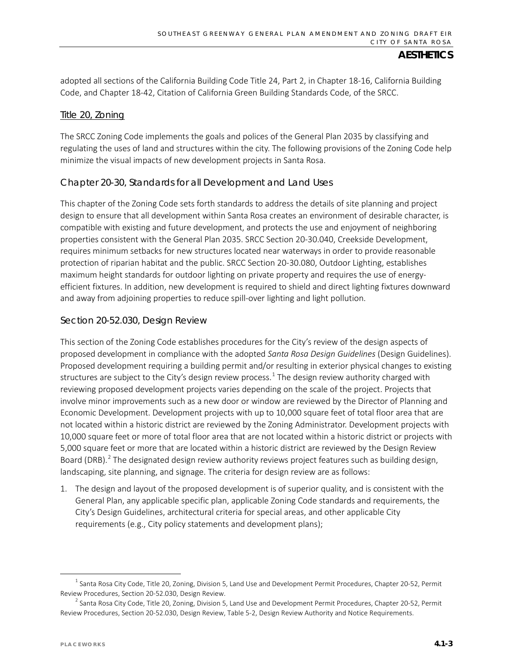adopted all sections of the California Building Code Title 24, Part 2, in Chapter 18-16, California Building Code, and Chapter 18-42, Citation of California Green Building Standards Code, of the SRCC.

#### Title 20, Zoning

The SRCC Zoning Code implements the goals and polices of the General Plan 2035 by classifying and regulating the uses of land and structures within the city. The following provisions of the Zoning Code help minimize the visual impacts of new development projects in Santa Rosa.

#### Chapter 20-30, Standards for all Development and Land Uses

This chapter of the Zoning Code sets forth standards to address the details of site planning and project design to ensure that all development within Santa Rosa creates an environment of desirable character, is compatible with existing and future development, and protects the use and enjoyment of neighboring properties consistent with the General Plan 2035. SRCC Section 20-30.040, Creekside Development, requires minimum setbacks for new structures located near waterways in order to provide reasonable protection of riparian habitat and the public. SRCC Section 20-30.080, Outdoor Lighting, establishes maximum height standards for outdoor lighting on private property and requires the use of energyefficient fixtures. In addition, new development is required to shield and direct lighting fixtures downward and away from adjoining properties to reduce spill-over lighting and light pollution.

#### Section 20-52.030, Design Review

This section of the Zoning Code establishes procedures for the City's review of the design aspects of proposed development in compliance with the adopted *Santa Rosa Design Guidelines* (Design Guidelines). Proposed development requiring a building permit and/or resulting in exterior physical changes to existing structures are subject to the City's design review process.<sup>[1](#page-2-0)</sup> The design review authority charged with reviewing proposed development projects varies depending on the scale of the project. Projects that involve minor improvements such as a new door or window are reviewed by the Director of Planning and Economic Development. Development projects with up to 10,000 square feet of total floor area that are not located within a historic district are reviewed by the Zoning Administrator. Development projects with 10,000 square feet or more of total floor area that are not located within a historic district or projects with 5,000 square feet or more that are located within a historic district are reviewed by the Design Review Board (DRB).<sup>[2](#page-2-1)</sup> The designated design review authority reviews project features such as building design, landscaping, site planning, and signage. The criteria for design review are as follows:

1. The design and layout of the proposed development is of superior quality, and is consistent with the General Plan, any applicable specific plan, applicable Zoning Code standards and requirements, the City's Design Guidelines, architectural criteria for special areas, and other applicable City requirements (e.g., City policy statements and development plans);

<span id="page-2-0"></span> $1$  Santa Rosa City Code, Title 20, Zoning, Division 5, Land Use and Development Permit Procedures, Chapter 20-52, Permit Review Procedures, Section 20-52.030, Design Review.<br><sup>2</sup> Santa Rosa City Code, Title 20, Zoning, Division 5, Land Use and Development Permit Procedures, Chapter 20-52, Permit

<span id="page-2-1"></span>Review Procedures, Section 20-52.030, Design Review, Table 5-2, Design Review Authority and Notice Requirements.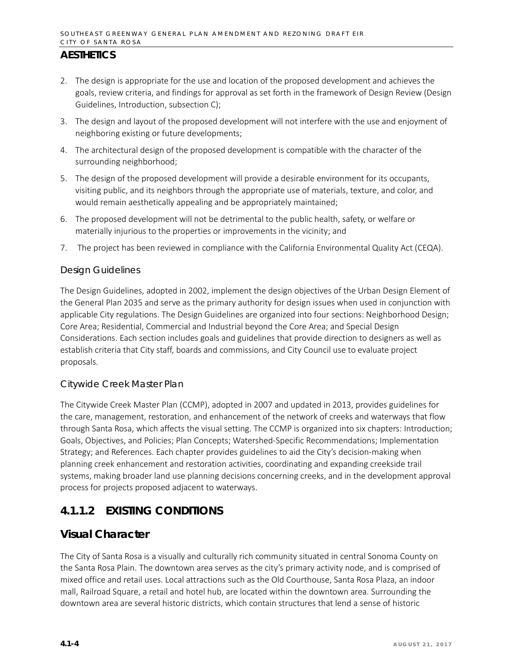- 2. The design is appropriate for the use and location of the proposed development and achieves the goals, review criteria, and findings for approval as set forth in the framework of Design Review (Design Guidelines, Introduction, subsection C);
- 3. The design and layout of the proposed development will not interfere with the use and enjoyment of neighboring existing or future developments;
- 4. The architectural design of the proposed development is compatible with the character of the surrounding neighborhood;
- 5. The design of the proposed development will provide a desirable environment for its occupants, visiting public, and its neighbors through the appropriate use of materials, texture, and color, and would remain aesthetically appealing and be appropriately maintained;
- 6. The proposed development will not be detrimental to the public health, safety, or welfare or materially injurious to the properties or improvements in the vicinity; and
- 7. The project has been reviewed in compliance with the California Environmental Quality Act (CEQA).

#### *Design Guidelines*

The Design Guidelines, adopted in 2002, implement the design objectives of the Urban Design Element of the General Plan 2035 and serve as the primary authority for design issues when used in conjunction with applicable City regulations. The Design Guidelines are organized into four sections: Neighborhood Design; Core Area; Residential, Commercial and Industrial beyond the Core Area; and Special Design Considerations. Each section includes goals and guidelines that provide direction to designers as well as establish criteria that City staff, boards and commissions, and City Council use to evaluate project proposals.

#### *Citywide Creek Master Plan*

The Citywide Creek Master Plan (CCMP), adopted in 2007 and updated in 2013, provides guidelines for the care, management, restoration, and enhancement of the network of creeks and waterways that flow through Santa Rosa, which affects the visual setting. The CCMP is organized into six chapters: Introduction; Goals, Objectives, and Policies; Plan Concepts; Watershed-Specific Recommendations; Implementation Strategy; and References. Each chapter provides guidelines to aid the City's decision-making when planning creek enhancement and restoration activities, coordinating and expanding creekside trail systems, making broader land use planning decisions concerning creeks, and in the development approval process for projects proposed adjacent to waterways.

# **4.1.1.2 EXISTING CONDITIONS**

## **Visual Character**

The City of Santa Rosa is a visually and culturally rich community situated in central Sonoma County on the Santa Rosa Plain. The downtown area serves as the city's primary activity node, and is comprised of mixed office and retail uses. Local attractions such as the Old Courthouse, Santa Rosa Plaza, an indoor mall, Railroad Square, a retail and hotel hub, are located within the downtown area. Surrounding the downtown area are several historic districts, which contain structures that lend a sense of historic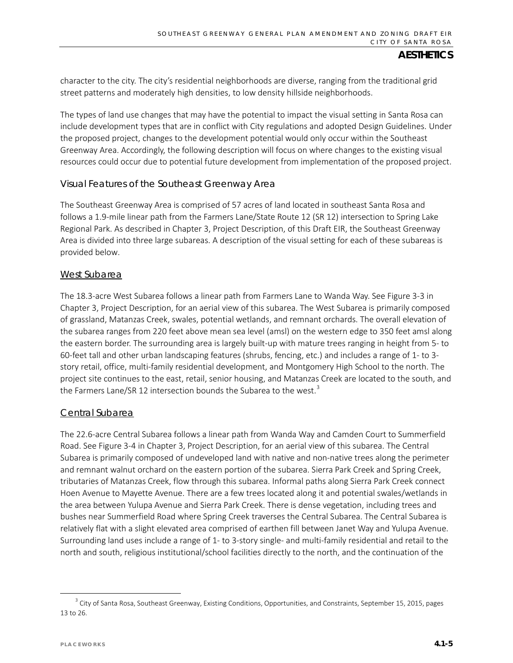character to the city. The city's residential neighborhoods are diverse, ranging from the traditional grid street patterns and moderately high densities, to low density hillside neighborhoods.

The types of land use changes that may have the potential to impact the visual setting in Santa Rosa can include development types that are in conflict with City regulations and adopted Design Guidelines. Under the proposed project, changes to the development potential would only occur within the Southeast Greenway Area. Accordingly, the following description will focus on where changes to the existing visual resources could occur due to potential future development from implementation of the proposed project.

#### *Visual Features of the Southeast Greenway Area*

The Southeast Greenway Area is comprised of 57 acres of land located in southeast Santa Rosa and follows a 1.9-mile linear path from the Farmers Lane/State Route 12 (SR 12) intersection to Spring Lake Regional Park. As described in Chapter 3, Project Description, of this Draft EIR, the Southeast Greenway Area is divided into three large subareas. A description of the visual setting for each of these subareas is provided below.

#### West Subarea

The 18.3-acre West Subarea follows a linear path from Farmers Lane to Wanda Way. See Figure 3-3 in Chapter 3, Project Description, for an aerial view of this subarea. The West Subarea is primarily composed of grassland, Matanzas Creek, swales, potential wetlands, and remnant orchards. The overall elevation of the subarea ranges from 220 feet above mean sea level (amsl) on the western edge to 350 feet amsl along the eastern border. The surrounding area is largely built-up with mature trees ranging in height from 5- to 60-feet tall and other urban landscaping features (shrubs, fencing, etc.) and includes a range of 1- to 3 story retail, office, multi-family residential development, and Montgomery High School to the north. The project site continues to the east, retail, senior housing, and Matanzas Creek are located to the south, and the Farmers Lane/SR 12 intersection bounds the Subarea to the west.<sup>[3](#page-4-0)</sup>

#### Central Subarea

The 22.6-acre Central Subarea follows a linear path from Wanda Way and Camden Court to Summerfield Road. See Figure 3-4 in Chapter 3, Project Description, for an aerial view of this subarea. The Central Subarea is primarily composed of undeveloped land with native and non-native trees along the perimeter and remnant walnut orchard on the eastern portion of the subarea. Sierra Park Creek and Spring Creek, tributaries of Matanzas Creek, flow through this subarea. Informal paths along Sierra Park Creek connect Hoen Avenue to Mayette Avenue. There are a few trees located along it and potential swales/wetlands in the area between Yulupa Avenue and Sierra Park Creek. There is dense vegetation, including trees and bushes near Summerfield Road where Spring Creek traverses the Central Subarea. The Central Subarea is relatively flat with a slight elevated area comprised of earthen fill between Janet Way and Yulupa Avenue. Surrounding land uses include a range of 1- to 3-story single- and multi-family residential and retail to the north and south, religious institutional/school facilities directly to the north, and the continuation of the

<span id="page-4-0"></span><sup>&</sup>lt;sup>3</sup> City of Santa Rosa, Southeast Greenway, Existing Conditions, Opportunities, and Constraints, September 15, 2015, pages 13 to 26.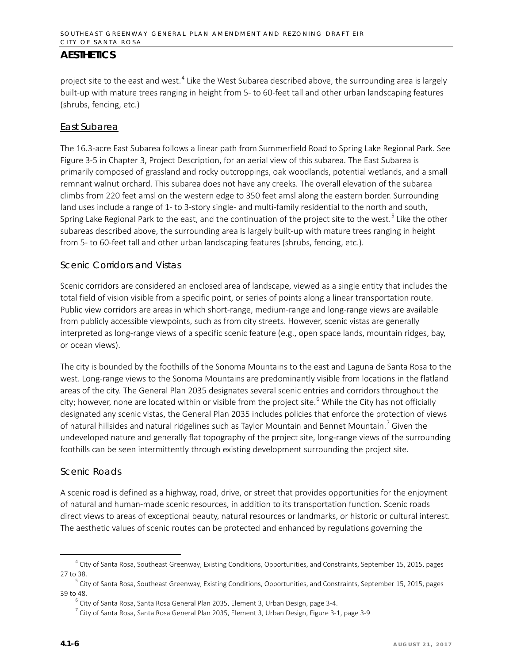project site to the east and west.<sup>[4](#page-5-0)</sup> Like the West Subarea described above, the surrounding area is largely built-up with mature trees ranging in height from 5- to 60-feet tall and other urban landscaping features (shrubs, fencing, etc.)

#### East Subarea

The 16.3-acre East Subarea follows a linear path from Summerfield Road to Spring Lake Regional Park. See Figure 3-5 in Chapter 3, Project Description, for an aerial view of this subarea. The East Subarea is primarily composed of grassland and rocky outcroppings, oak woodlands, potential wetlands, and a small remnant walnut orchard. This subarea does not have any creeks. The overall elevation of the subarea climbs from 220 feet amsl on the western edge to 350 feet amsl along the eastern border. Surrounding land uses include a range of 1- to 3-story single- and multi-family residential to the north and south, Spring Lake Regional Park to the east, and the continuation of the project site to the west.<sup>[5](#page-5-1)</sup> Like the other subareas described above, the surrounding area is largely built-up with mature trees ranging in height from 5- to 60-feet tall and other urban landscaping features (shrubs, fencing, etc.).

#### *Scenic Corridors and Vistas*

Scenic corridors are considered an enclosed area of landscape, viewed as a single entity that includes the total field of vision visible from a specific point, or series of points along a linear transportation route. Public view corridors are areas in which short-range, medium-range and long-range views are available from publicly accessible viewpoints, such as from city streets. However, scenic vistas are generally interpreted as long-range views of a specific scenic feature (e.g., open space lands, mountain ridges, bay, or ocean views).

The city is bounded by the foothills of the Sonoma Mountains to the east and Laguna de Santa Rosa to the west. Long-range views to the Sonoma Mountains are predominantly visible from locations in the flatland areas of the city. The General Plan 2035 designates several scenic entries and corridors throughout the city; however, none are located within or visible from the project site.<sup>[6](#page-5-2)</sup> While the City has not officially designated any scenic vistas, the General Plan 2035 includes policies that enforce the protection of views of natural hillsides and natural ridgelines such as Taylor Mountain and Bennet Mountain.<sup>[7](#page-5-3)</sup> Given the undeveloped nature and generally flat topography of the project site, long-range views of the surrounding foothills can be seen intermittently through existing development surrounding the project site.

#### *Scenic Roads*

A scenic road is defined as a highway, road, drive, or street that provides opportunities for the enjoyment of natural and human-made scenic resources, in addition to its transportation function. Scenic roads direct views to areas of exceptional beauty, natural resources or landmarks, or historic or cultural interest. The aesthetic values of scenic routes can be protected and enhanced by regulations governing the

<span id="page-5-0"></span> $4$  City of Santa Rosa, Southeast Greenway, Existing Conditions, Opportunities, and Constraints, September 15, 2015, pages 27 to 38.

<span id="page-5-3"></span><span id="page-5-2"></span><span id="page-5-1"></span><sup>&</sup>lt;sup>5</sup> City of Santa Rosa, Southeast Greenway, Existing Conditions, Opportunities, and Constraints, September 15, 2015, pages 39 to 48.

 $6$  City of Santa Rosa, Santa Rosa General Plan 2035, Element 3, Urban Design, page 3-4.

 $7$  City of Santa Rosa, Santa Rosa General Plan 2035, Element 3, Urban Design, Figure 3-1, page 3-9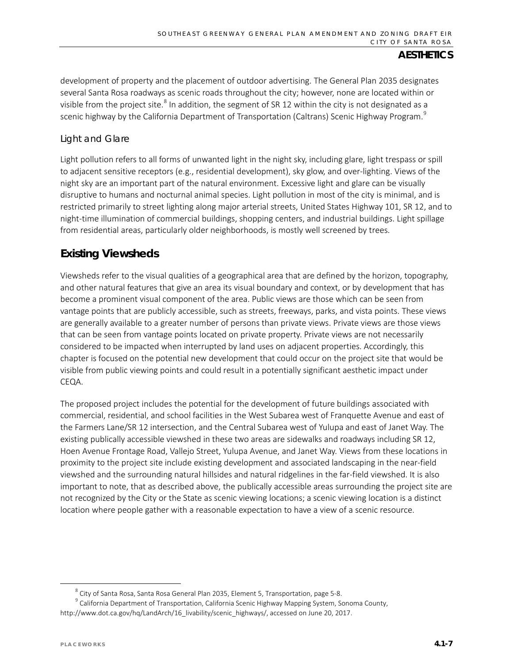development of property and the placement of outdoor advertising. The General Plan 2035 designates several Santa Rosa roadways as scenic roads throughout the city; however, none are located within or visible from the project site.<sup>[8](#page-6-0)</sup> In addition, the segment of SR 12 within the city is not designated as a scenic highway by the California Department of Transportation (Caltrans) Scenic Highway Program.<sup>[9](#page-6-1)</sup>

### *Light and Glare*

Light pollution refers to all forms of unwanted light in the night sky, including glare, light trespass or spill to adjacent sensitive receptors (e.g., residential development), sky glow, and over-lighting. Views of the night sky are an important part of the natural environment. Excessive light and glare can be visually disruptive to humans and nocturnal animal species. Light pollution in most of the city is minimal, and is restricted primarily to street lighting along major arterial streets, United States Highway 101, SR 12, and to night-time illumination of commercial buildings, shopping centers, and industrial buildings. Light spillage from residential areas, particularly older neighborhoods, is mostly well screened by trees.

# **Existing Viewsheds**

Viewsheds refer to the visual qualities of a geographical area that are defined by the horizon, topography, and other natural features that give an area its visual boundary and context, or by development that has become a prominent visual component of the area. Public views are those which can be seen from vantage points that are publicly accessible, such as streets, freeways, parks, and vista points. These views are generally available to a greater number of persons than private views. Private views are those views that can be seen from vantage points located on private property. Private views are not necessarily considered to be impacted when interrupted by land uses on adjacent properties. Accordingly, this chapter is focused on the potential new development that could occur on the project site that would be visible from public viewing points and could result in a potentially significant aesthetic impact under CEQA.

The proposed project includes the potential for the development of future buildings associated with commercial, residential, and school facilities in the West Subarea west of Franquette Avenue and east of the Farmers Lane/SR 12 intersection, and the Central Subarea west of Yulupa and east of Janet Way. The existing publically accessible viewshed in these two areas are sidewalks and roadways including SR 12, Hoen Avenue Frontage Road, Vallejo Street, Yulupa Avenue, and Janet Way. Views from these locations in proximity to the project site include existing development and associated landscaping in the near-field viewshed and the surrounding natural hillsides and natural ridgelines in the far-field viewshed. It is also important to note, that as described above, the publically accessible areas surrounding the project site are not recognized by the City or the State as scenic viewing locations; a scenic viewing location is a distinct location where people gather with a reasonable expectation to have a view of a scenic resource.

<span id="page-6-1"></span><span id="page-6-0"></span> $^8$  City of Santa Rosa, Santa Rosa General Plan 2035, Element 5, Transportation, page 5-8.<br>9 California Department of Transportation, California Scenic Highway Mapping System, Sonoma County, [http://www.dot.ca.gov/hq/LandArch/16\\_livability/scenic\\_highways/,](http://www.dot.ca.gov/hq/LandArch/16_livability/scenic_highways/) accessed on June 20, 2017.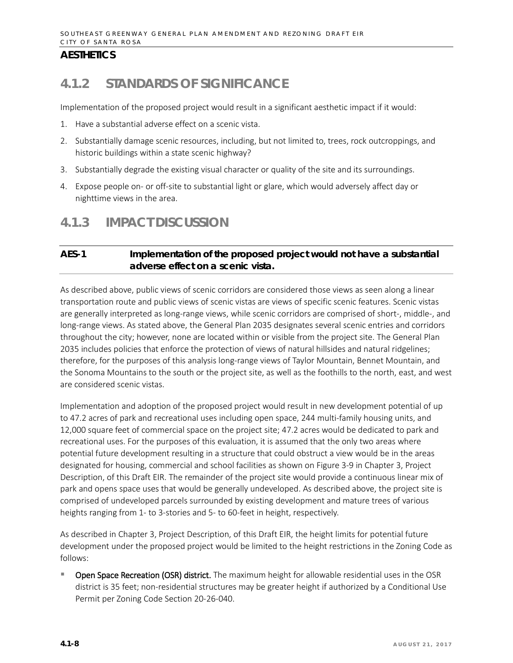# **4.1.2 STANDARDS OF SIGNIFICANCE**

Implementation of the proposed project would result in a significant aesthetic impact if it would:

- 1. Have a substantial adverse effect on a scenic vista.
- 2. Substantially damage scenic resources, including, but not limited to, trees, rock outcroppings, and historic buildings within a state scenic highway?
- 3. Substantially degrade the existing visual character or quality of the site and its surroundings.
- 4. Expose people on- or off-site to substantial light or glare, which would adversely affect day or nighttime views in the area.

# **4.1.3 IMPACT DISCUSSION**

## **AES-1 Implementation of the proposed project would not have a substantial adverse effect on a scenic vista.**

As described above, public views of scenic corridors are considered those views as seen along a linear transportation route and public views of scenic vistas are views of specific scenic features. Scenic vistas are generally interpreted as long-range views, while scenic corridors are comprised of short-, middle-, and long-range views. As stated above, the General Plan 2035 designates several scenic entries and corridors throughout the city; however, none are located within or visible from the project site. The General Plan 2035 includes policies that enforce the protection of views of natural hillsides and natural ridgelines; therefore, for the purposes of this analysis long-range views of Taylor Mountain, Bennet Mountain, and the Sonoma Mountains to the south or the project site, as well as the foothills to the north, east, and west are considered scenic vistas.

Implementation and adoption of the proposed project would result in new development potential of up to 47.2 acres of park and recreational uses including open space, 244 multi-family housing units, and 12,000 square feet of commercial space on the project site; 47.2 acres would be dedicated to park and recreational uses. For the purposes of this evaluation, it is assumed that the only two areas where potential future development resulting in a structure that could obstruct a view would be in the areas designated for housing, commercial and school facilities as shown on Figure 3-9 in Chapter 3, Project Description, of this Draft EIR. The remainder of the project site would provide a continuous linear mix of park and opens space uses that would be generally undeveloped. As described above, the project site is comprised of undeveloped parcels surrounded by existing development and mature trees of various heights ranging from 1- to 3-stories and 5- to 60-feet in height, respectively.

As described in Chapter 3, Project Description, of this Draft EIR, the height limits for potential future development under the proposed project would be limited to the height restrictions in the Zoning Code as follows:

 Open Space Recreation (OSR) district. The maximum height for allowable residential uses in the OSR district is 35 feet; non-residential structures may be greater height if authorized by a Conditional Use Permit per Zoning Code Section 20-26-040.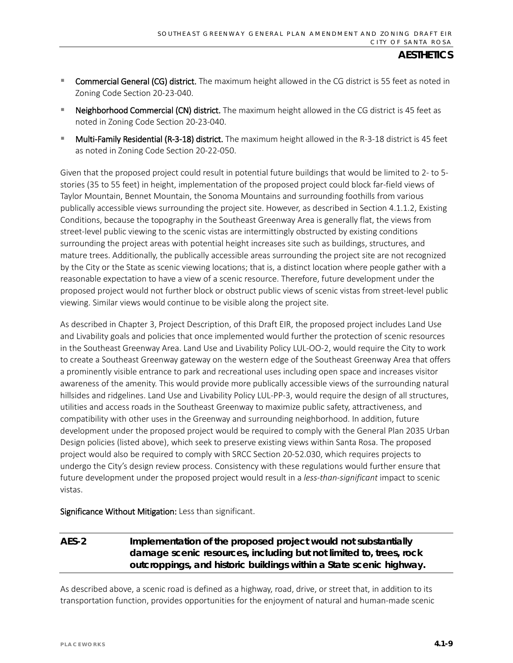- **Commercial General (CG) district.** The maximum height allowed in the CG district is 55 feet as noted in Zoning Code Sectio[n 20-23-040.](http://qcode.us/codes/santarosa/view.php?topic=20-2-20_23-20_23_040&frames=on)
- Neighborhood Commercial (CN) district. The maximum height allowed in the CG district is 45 feet as noted in Zoning Code Section 20-23-040.
- Multi-Family Residential (R-3-18) district. The maximum height allowed in the R-3-18 district is 45 feet as noted in Zoning Code Sectio[n 20-22-050.](http://qcode.us/codes/santarosa/view.php?topic=20-2-20_22-20_22_050&frames)

Given that the proposed project could result in potential future buildings that would be limited to 2- to 5 stories (35 to 55 feet) in height, implementation of the proposed project could block far-field views of Taylor Mountain, Bennet Mountain, the Sonoma Mountains and surrounding foothills from various publically accessible views surrounding the project site. However, as described in Section 4.1.1.2, Existing Conditions, because the topography in the Southeast Greenway Area is generally flat, the views from street-level public viewing to the scenic vistas are intermittingly obstructed by existing conditions surrounding the project areas with potential height increases site such as buildings, structures, and mature trees. Additionally, the publically accessible areas surrounding the project site are not recognized by the City or the State as scenic viewing locations; that is, a distinct location where people gather with a reasonable expectation to have a view of a scenic resource. Therefore, future development under the proposed project would not further block or obstruct public views of scenic vistas from street-level public viewing. Similar views would continue to be visible along the project site.

As described in Chapter 3, Project Description, of this Draft EIR, the proposed project includes Land Use and Livability goals and policies that once implemented would further the protection of scenic resources in the Southeast Greenway Area. Land Use and Livability Policy LUL-OO-2, would require the City to work to create a Southeast Greenway gateway on the western edge of the Southeast Greenway Area that offers a prominently visible entrance to park and recreational uses including open space and increases visitor awareness of the amenity. This would provide more publically accessible views of the surrounding natural hillsides and ridgelines. Land Use and Livability Policy LUL-PP-3, would require the design of all structures, utilities and access roads in the Southeast Greenway to maximize public safety, attractiveness, and compatibility with other uses in the Greenway and surrounding neighborhood. In addition, future development under the proposed project would be required to comply with the General Plan 2035 Urban Design policies (listed above), which seek to preserve existing views within Santa Rosa. The proposed project would also be required to comply with SRCC Section 20-52.030, which requires projects to undergo the City's design review process. Consistency with these regulations would further ensure that future development under the proposed project would result in a *less-than-significant* impact to scenic vistas.

Significance Without Mitigation: Less than significant.

## **AES-2 Implementation of the proposed project would not substantially damage scenic resources, including but not limited to, trees, rock outcroppings, and historic buildings within a State scenic highway.**

As described above, a scenic road is defined as a highway, road, drive, or street that, in addition to its transportation function, provides opportunities for the enjoyment of natural and human-made scenic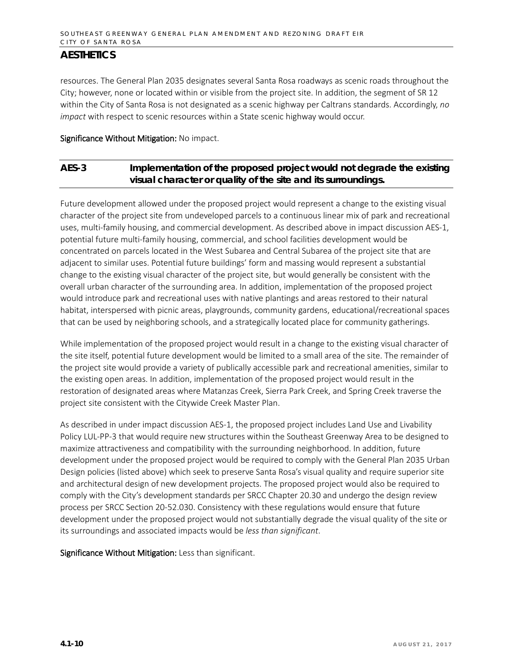resources. The General Plan 2035 designates several Santa Rosa roadways as scenic roads throughout the City; however, none or located within or visible from the project site. In addition, the segment of SR 12 within the City of Santa Rosa is not designated as a scenic highway per Caltrans standards. Accordingly, *no impact* with respect to scenic resources within a State scenic highway would occur.

#### Significance Without Mitigation: No impact.

## **AES-3 Implementation of the proposed project would not degrade the existing visual character or quality of the site and its surroundings.**

Future development allowed under the proposed project would represent a change to the existing visual character of the project site from undeveloped parcels to a continuous linear mix of park and recreational uses, multi-family housing, and commercial development. As described above in impact discussion AES-1, potential future multi-family housing, commercial, and school facilities development would be concentrated on parcels located in the West Subarea and Central Subarea of the project site that are adjacent to similar uses. Potential future buildings' form and massing would represent a substantial change to the existing visual character of the project site, but would generally be consistent with the overall urban character of the surrounding area. In addition, implementation of the proposed project would introduce park and recreational uses with native plantings and areas restored to their natural habitat, interspersed with picnic areas, playgrounds, community gardens, educational/recreational spaces that can be used by neighboring schools, and a strategically located place for community gatherings.

While implementation of the proposed project would result in a change to the existing visual character of the site itself, potential future development would be limited to a small area of the site. The remainder of the project site would provide a variety of publically accessible park and recreational amenities, similar to the existing open areas. In addition, implementation of the proposed project would result in the restoration of designated areas where Matanzas Creek, Sierra Park Creek, and Spring Creek traverse the project site consistent with the Citywide Creek Master Plan.

As described in under impact discussion AES-1, the proposed project includes Land Use and Livability Policy LUL-PP-3 that would require new structures within the Southeast Greenway Area to be designed to maximize attractiveness and compatibility with the surrounding neighborhood. In addition, future development under the proposed project would be required to comply with the General Plan 2035 Urban Design policies (listed above) which seek to preserve Santa Rosa's visual quality and require superior site and architectural design of new development projects. The proposed project would also be required to comply with the City's development standards per SRCC Chapter 20.30 and undergo the design review process per SRCC Section 20-52.030. Consistency with these regulations would ensure that future development under the proposed project would not substantially degrade the visual quality of the site or its surroundings and associated impacts would be *less than significant*.

Significance Without Mitigation: Less than significant.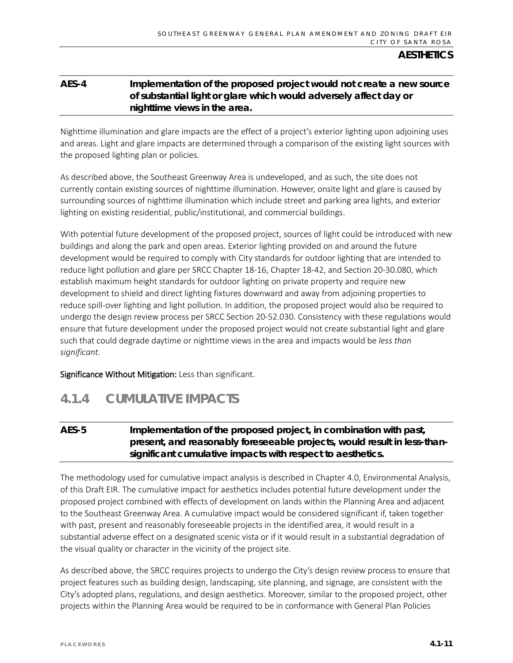## **AES-4 Implementation of the proposed project would not create a new source of substantial light or glare which would adversely affect day or nighttime views in the area.**

Nighttime illumination and glare impacts are the effect of a project's exterior lighting upon adjoining uses and areas. Light and glare impacts are determined through a comparison of the existing light sources with the proposed lighting plan or policies.

As described above, the Southeast Greenway Area is undeveloped, and as such, the site does not currently contain existing sources of nighttime illumination. However, onsite light and glare is caused by surrounding sources of nighttime illumination which include street and parking area lights, and exterior lighting on existing residential, public/institutional, and commercial buildings.

With potential future development of the proposed project, sources of light could be introduced with new buildings and along the park and open areas. Exterior lighting provided on and around the future development would be required to comply with City standards for outdoor lighting that are intended to reduce light pollution and glare per SRCC Chapter 18-16, Chapter 18-42, and Section 20-30.080, which establish maximum height standards for outdoor lighting on private property and require new development to shield and direct lighting fixtures downward and away from adjoining properties to reduce spill-over lighting and light pollution. In addition, the proposed project would also be required to undergo the design review process per SRCC Section 20-52.030. Consistency with these regulations would ensure that future development under the proposed project would not create substantial light and glare such that could degrade daytime or nighttime views in the area and impacts would be *less than significant.*

Significance Without Mitigation: Less than significant.

# **4.1.4 CUMULATIVE IMPACTS**

## **AES-5 Implementation of the proposed project, in combination with past, present, and reasonably foreseeable projects, would result in less-thansignificant cumulative impacts with respect to aesthetics.**

The methodology used for cumulative impact analysis is described in Chapter 4.0, Environmental Analysis, of this Draft EIR. The cumulative impact for aesthetics includes potential future development under the proposed project combined with effects of development on lands within the Planning Area and adjacent to the Southeast Greenway Area. A cumulative impact would be considered significant if, taken together with past, present and reasonably foreseeable projects in the identified area, it would result in a substantial adverse effect on a designated scenic vista or if it would result in a substantial degradation of the visual quality or character in the vicinity of the project site.

As described above, the SRCC requires projects to undergo the City's design review process to ensure that project features such as building design, landscaping, site planning, and signage, are consistent with the City's adopted plans, regulations, and design aesthetics. Moreover, similar to the proposed project, other projects within the Planning Area would be required to be in conformance with General Plan Policies